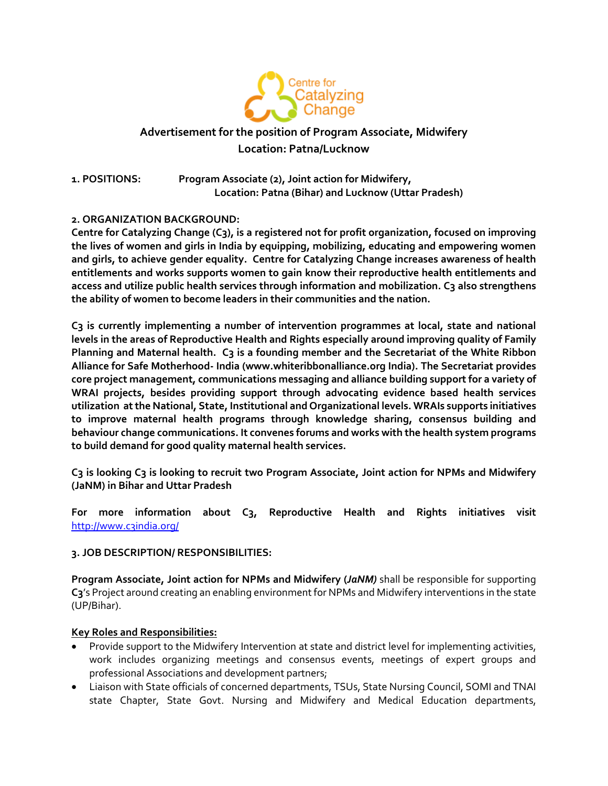

# **Advertisement for the position of Program Associate, Midwifery Location: Patna/Lucknow**

**1. POSITIONS: Program Associate (2), Joint action for Midwifery, Location: Patna (Bihar) and Lucknow (Uttar Pradesh)**

## **2. ORGANIZATION BACKGROUND:**

**Centre for Catalyzing Change (C3), is a registered not for profit organization, focused on improving the lives of women and girls in India by equipping, mobilizing, educating and empowering women and girls, to achieve gender equality. Centre for Catalyzing Change increases awareness of health entitlements and works supports women to gain know their reproductive health entitlements and access and utilize public health services through information and mobilization. C3 also strengthens the ability of women to become leaders in their communities and the nation.** 

**C3 is currently implementing a number of intervention programmes at local, state and national levels in the areas of Reproductive Health and Rights especially around improving quality of Family**  Planning and Maternal health. C3 is a founding member and the Secretariat of the White Ribbon **Alliance for Safe Motherhood- India (www.whiteribbonalliance.org India). The Secretariat provides core project management, communications messaging and alliance building support for a variety of WRAI projects, besides providing support through advocating evidence based health services utilization at the National, State, Institutional and Organizational levels. WRAIs supports initiatives to improve maternal health programs through knowledge sharing, consensus building and behaviour change communications. It convenes forums and works with the health system programs to build demand for good quality maternal health services.** 

**C3 is looking C3 is looking to recruit two Program Associate, Joint action for NPMs and Midwifery (JaNM) in Bihar and Uttar Pradesh**

**For more information about C3, Reproductive Health and Rights initiatives visit**  <http://www.c3india.org/>

### **3. JOB DESCRIPTION/ RESPONSIBILITIES:**

**Program Associate, Joint action for NPMs and Midwifery (***JaNM)* shall be responsible for supporting **C3**'s Project around creating an enabling environment for NPMs and Midwifery interventions in the state (UP/Bihar).

### **Key Roles and Responsibilities:**

- Provide support to the Midwifery Intervention at state and district level for implementing activities, work includes organizing meetings and consensus events, meetings of expert groups and professional Associations and development partners;
- Liaison with State officials of concerned departments, TSUs, State Nursing Council, SOMI and TNAI state Chapter, State Govt. Nursing and Midwifery and Medical Education departments,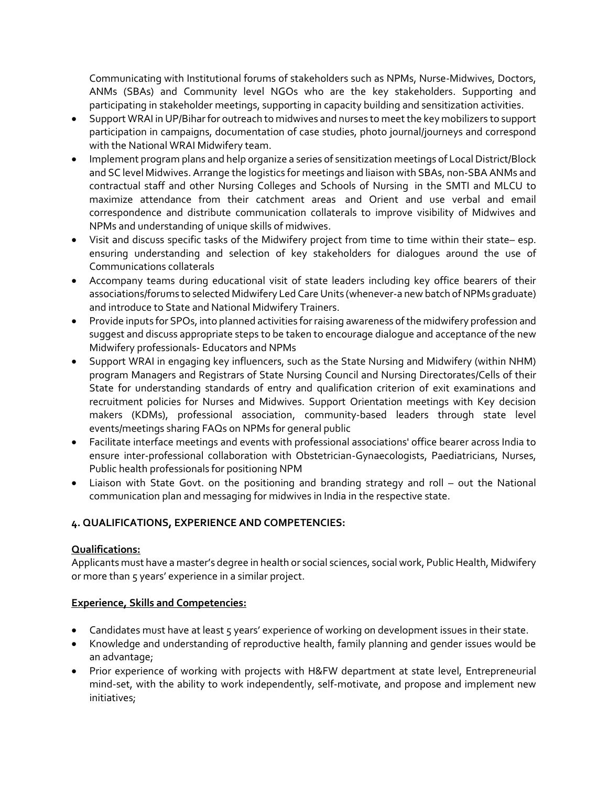Communicating with Institutional forums of stakeholders such as NPMs, Nurse-Midwives, Doctors, ANMs (SBAs) and Community level NGOs who are the key stakeholders. Supporting and participating in stakeholder meetings, supporting in capacity building and sensitization activities.

- Support WRAI in UP/Bihar for outreach to midwives and nurses to meet the key mobilizers to support participation in campaigns, documentation of case studies, photo journal/journeys and correspond with the National WRAI Midwifery team.
- Implement program plans and help organize a series of sensitization meetings of Local District/Block and SC level Midwives. Arrange the logistics for meetings and liaison with SBAs, non-SBA ANMs and contractual staff and other Nursing Colleges and Schools of Nursing in the SMTI and MLCU to maximize attendance from their catchment areas and Orient and use verbal and email correspondence and distribute communication collaterals to improve visibility of Midwives and NPMs and understanding of unique skills of midwives.
- Visit and discuss specific tasks of the Midwifery project from time to time within their state– esp. ensuring understanding and selection of key stakeholders for dialogues around the use of Communications collaterals
- Accompany teams during educational visit of state leaders including key office bearers of their associations/forums to selected Midwifery Led Care Units (whenever-a new batch of NPMs graduate) and introduce to State and National Midwifery Trainers.
- Provide inputs for SPOs, into planned activities for raising awareness of the midwifery profession and suggest and discuss appropriate steps to be taken to encourage dialogue and acceptance of the new Midwifery professionals- Educators and NPMs
- Support WRAI in engaging key influencers, such as the State Nursing and Midwifery (within NHM) program Managers and Registrars of State Nursing Council and Nursing Directorates/Cells of their State for understanding standards of entry and qualification criterion of exit examinations and recruitment policies for Nurses and Midwives. Support Orientation meetings with Key decision makers (KDMs), professional association, community-based leaders through state level events/meetings sharing FAQs on NPMs for general public
- Facilitate interface meetings and events with professional associations' office bearer across India to ensure inter-professional collaboration with Obstetrician-Gynaecologists, Paediatricians, Nurses, Public health professionals for positioning NPM
- Liaison with State Govt. on the positioning and branding strategy and roll out the National communication plan and messaging for midwives in India in the respective state.

## **4. QUALIFICATIONS, EXPERIENCE AND COMPETENCIES:**

## **Qualifications:**

Applicants must have a master's degree in health or social sciences, social work, Public Health, Midwifery or more than 5 years' experience in a similar project.

## **Experience, Skills and Competencies:**

- Candidates must have at least 5 years' experience of working on development issues in their state.
- Knowledge and understanding of reproductive health, family planning and gender issues would be an advantage;
- Prior experience of working with projects with H&FW department at state level, Entrepreneurial mind-set, with the ability to work independently, self-motivate, and propose and implement new initiatives;